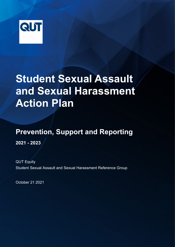

# **Student Sexual Assault and Sexual Harassment Action Plan**

## **Prevention, Support and Reporting**

**2021 - 2023**

QUT Equity Student Sexual Assault and Sexual Harassment Reference Group

October 21 2021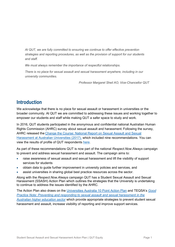*At QUT, we are fully committed to ensuring we continue to offer effective prevention strategies and reporting procedures, as well as the provision of support for our students and staff.*

*We must always remember the importance of respectful relationships.*

*There is no place for sexual assault and sexual harassment anywhere, including in our university communities.*

*Professor Margaret Sheil AO, Vice-Chancellor QUT*

#### **Introduction**

We acknowledge that there is no place for sexual assault or harassment in universities or the broader community. At QUT we are committed to addressing these issues and working together to empower our students and staff while making QUT a safer space to study and work.

In 2016, QUT students participated in the anonymous and confidential national Australian Human Rights Commission (AHRC) survey about sexual assault and harassment. Following the survey, AHRC released the [Change the Course: National Report on Sexual Assault and Sexual](https://humanrights.gov.au/our-work/sex-discrimination/publications/change-course-national-report-sexual-assault-and-sexual)  [Harassment at Australian Universities \(2017\),](https://humanrights.gov.au/our-work/sex-discrimination/publications/change-course-national-report-sexual-assault-and-sexual) which included nine recommendations. You can view the results of profile of QUT respondents [here.](https://www.qut.edu.au/about/campuses-and-facilities/safety-on-campus)

As part of these recommendations QUT is now part of the national *Respect.Now.Always* campaign to prevent and address sexual harassment and assault. The campaign aims to:

- raise awareness of sexual assault and sexual harassment and lift the visibility of support services for students
- obtain data to guide further improvement in university policies and services, and
- assist universities in sharing global best practice resources across the sector.

Along with the *Respect.Now.Always* campaign QUT has a Student Sexual Assault and Sexual Harassment (SSASH) Action Plan which outlines the strategies that the University is undertaking to continue to address the issues identified by the AHRC.

The Action Plan also draws on the [Universities Australia 10 Point Action Plan](https://www.universitiesaustralia.edu.au/wp-content/uploads/2019/06/Companion-Report-Web-version.pdf) and TEQSA's *[Good](https://www.teqsa.gov.au/latest-news/publications/good-practice-note-preventing-and-responding-sexual-assault-and-sexual)  Practice Note: [Preventing and responding to sexual assault and sexual harassment in the](https://www.teqsa.gov.au/latest-news/publications/good-practice-note-preventing-and-responding-sexual-assault-and-sexual)  [Australian higher education sector](https://www.teqsa.gov.au/latest-news/publications/good-practice-note-preventing-and-responding-sexual-assault-and-sexual)* which provide appropriate strategies to prevent student sexual harassment and assault, increase visibility of reporting and improve support services.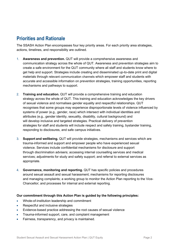#### **Priorities and Rationale**

The SSASH Action Plan encompasses four key priority areas. For each priority area strategies, actions, timelines, and responsibility are outlined.

- 1. **Awareness and prevention.** QUT will provide a comprehensive awareness and communication strategy across the whole of QUT. Awareness and prevention strategies aim to create a safe environment for the QUT community where all staff and students know where to get help and support. Strategies include creating and disseminated up-to-date print and digital materials through relevant communication channels which empower staff and students with accurate and accessible information on prevention strategies, training opportunities, reporting mechanisms and pathways to support.
- 2. **Training and education.** QUT will provide a comprehensive training and education strategy across the whole of QUT. This training and education acknowledges the key drivers of sexual violence and normalises gender equality and respectful relationships. QUT recognises that some groups may experience disproportionate levels of violence influenced by systems of power (e.g., gender, race) which intersect with individual identities and attributes (e.g., gender identity, sexuality, disability, cultural background) and will develop inclusive and targeted strategies. Practical delivery of prevention strategies for staff and students will include respect and safety training, bystander training, responding to disclosures, and safe campus initiatives.
- 3. **Support and wellbeing.** QUT will provide strategies, mechanisms and services which are trauma-informed and support and empower people who have experienced sexual violence. Services include confidential mechanisms for disclosure and support through discrimination advisers; accessing internal counselling services and medical services; adjustments for study and safety support; and referral to external services as appropriate.
- 4. **Governance, monitoring and reporting.** QUT has specific policies and procedures around sexual assault and sexual harassment; mechanisms for reporting disclosures and managing complaints; a working group to monitor the Action Plan reporting to the Vice-Chancellor; and processes for internal and external reporting.

#### **Our commitment through this Action Plan is guided by the following principles:**

- Whole-of-institution leadership and commitment
- Respectful and inclusive strategies
- Evidence-based practice addressing the root causes of sexual violence
- Trauma-informed support, care, and complaint management
- Fairness, transparency, and privacy is maintained.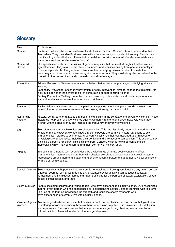### **Glossary**

| <b>Term</b>                | <b>Explanation</b>                                                                                                                                                                                                                                                                                                                                                                                                                                                                                                                                                                                                       |
|----------------------------|--------------------------------------------------------------------------------------------------------------------------------------------------------------------------------------------------------------------------------------------------------------------------------------------------------------------------------------------------------------------------------------------------------------------------------------------------------------------------------------------------------------------------------------------------------------------------------------------------------------------------|
| Gender                     | Unlike sex, which is based on anatomical and physical markers, Gender is how a person identifies<br>themselves. They may identify at any point within the spectrum, or outside of it entirely. People may<br>identify with genders that are different to their natal sex, or with none at all. Gender also exists as a<br>social construct, as gender 'roles' or 'norms'.                                                                                                                                                                                                                                                |
| Gendered<br><b>Drivers</b> | The specific elements or expressions of gender inequality that are most strongly linked to violence<br>against women. They relate to the structures, norms and practices arising from gender inequality in<br>public and private life. The gendered drivers are the underlying causes required to create the<br>necessary conditions in which violence against women occurs. They must always be considered in the<br>context of other forms of social discrimination and disadvantage                                                                                                                                   |
| Prevention                 | Primary Prevention: Whole-of-population initiatives that address the primary, or underlying, drivers of<br>violence<br>Secondary Prevention: Secondary prevention, or early intervention, aims to 'change the trajectory' for<br>individuals at higher-than-average risk of perpetrating or experiencing violence<br>Tertiary Prevention: Tertiary prevention, or response, supports survivors and holds perpetrators to<br>account, and aims to prevent the recurrence of violence                                                                                                                                      |
| Racism                     | Racism takes many forms and can happen in many places. It includes prejudice, discrimination or<br>hatred directed at someone because of their colour, ethnicity, or national origin                                                                                                                                                                                                                                                                                                                                                                                                                                     |
| Reinforcing<br>Factors     | Factors, behaviours, or attitudes that become significant in the context of the drivers of violence. These<br>factors do not predict or drive violence against women in and of themselves; however, when they<br>interact with the drivers, they can increase the frequency or severity of violence                                                                                                                                                                                                                                                                                                                      |
| Sex                        | Sex refers to a person's biological sex characteristics. This has historically been understood as either<br>female or male. However, we now know that some people are born with natural variations to sex<br>characteristics, referred to as intersex. A person typically has their sex assigned at birth based on<br>physiological characteristics, including their genitalia and chromosome composition. This assigned sex<br>is called a person's <i>natal sex</i> . This is distinct from 'Gender', which is how a person identifies<br>themselves, which may be different from their 'sex' or with no 'sex' at all. |
| Intersex                   | Intersex is an umbrella term used to describe a wide range of innate bodily variations of sex<br>characteristics. Intersex people are born with physical sex characteristics (such as sexual anatomy,<br>reproductive organs, hormonal patterns and/or chromosomal patterns) that do not fit typical definitions<br>for male or female bodies.                                                                                                                                                                                                                                                                           |
|                            | Sexual Violence Sexual activity that happens where consent is not obtained or freely given. It occurs any time a person<br>is forced, coerced, or manipulated into any unwanted sexual activity, such as touching, sexual<br>harassment and intimidation, forced marriage, trafficking for the purpose of sexual exploitation, sexual<br>abuse, sexual assault, and rape.                                                                                                                                                                                                                                                |
| Victim-Survivor            | People, including children and young people, who have experienced sexual violence. QUT recognises<br>that not every person who has experienced or is experiencing sexual violence identifies with this term.<br>The use of the term acknowledges the strength and resilience shown by people who<br>have experienced or currently live with sexual violence.                                                                                                                                                                                                                                                             |
| Women                      | Violence Against Any act of gender-based violence that causes or could cause physical, sexual, or psychological harm<br>or suffering to women, including threats of harm or coercion, in public or in private life. This definition<br>encompasses all forms of violence that women experience (including physical, sexual, emotional,<br>cultural, spiritual, financial, and other) that are gender-based.                                                                                                                                                                                                              |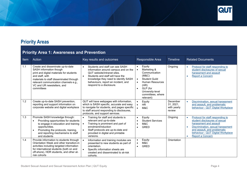

#### **Priority Areas**

#### **Priority Area 1: Awareness and Prevention**

| Item | Action                                                                                                                                                                                                                                                      | Key results and outcomes                                                                                                                                                                                                                                                  | Responsible Area                                                                                                                                                                                                                             | <b>Timeline</b>                                | <b>Related Documents</b>                                                                                                                                                                                                  |
|------|-------------------------------------------------------------------------------------------------------------------------------------------------------------------------------------------------------------------------------------------------------------|---------------------------------------------------------------------------------------------------------------------------------------------------------------------------------------------------------------------------------------------------------------------------|----------------------------------------------------------------------------------------------------------------------------------------------------------------------------------------------------------------------------------------------|------------------------------------------------|---------------------------------------------------------------------------------------------------------------------------------------------------------------------------------------------------------------------------|
| 1.1  | Create and disseminate up-to-date<br>SASH information though<br>print and digital materials for students<br>and staff, with<br>materials to staff disseminated through<br>relevant communication channels e.g.,<br>VC and UR newsletters, and<br>committees | Students and staff can see SASH<br>$\bullet$<br>information around campus and on the<br><b>QUT</b> website/intranet sites.<br>Students and staff will have the<br>knowledge they need to identify SASH<br>behaviours, report an incident, and<br>respond to a disclosure. | Equity<br>$\bullet$<br>Marketing &<br>$\bullet$<br>Communication<br>(M&C)<br><b>Student Guild</b><br>$\bullet$<br><b>Human Resources</b><br>$\bullet$<br>(HR)<br>GLP (for<br>$\bullet$<br>University-level<br>committees, where<br>relevant) | Ongoing                                        | Protocol for staff responding to<br>$\bullet$<br>student disclosures of sexual<br>harassment and assault<br><b>Report a Concern</b>                                                                                       |
| 1.2  | Create up-to-date SASH prevention,<br>reporting and support information on<br>corporate website and digital workplace                                                                                                                                       | QUT will have webpages with information,<br>which is SASH specific, accurate and easy<br>to navigate for students, and pages specific<br>to staff around responding to disclosures,<br>protocols, and support services.                                                   | Equity<br>$\bullet$<br><b>HR</b><br>$\bullet$<br>M&C<br>$\bullet$                                                                                                                                                                            | December<br>31, 2021,<br>with yearly<br>review | Discrimination, sexual harassment<br>and assault, and problematic<br>behaviour - QUT Digital Workplace                                                                                                                    |
| 1.3  | Promote SASH knowledge through:<br>Providing opportunities for students<br>to engage in education and training<br>opportunities.<br>Promoting the protocols, training,<br>$\bullet$<br>and reporting mechanisms to staff<br>and students                    | Training for staff and students is<br>relevant and up-to-date<br>Training is prominent and part of<br>enrolment/induction<br>Staff protocols are up-to-date and<br>provided in digital and printable<br>versions.                                                         | Equity<br>$\bullet$<br><b>Student Services</b><br>M&C<br><b>GRED</b>                                                                                                                                                                         | Ongoing                                        | Protocol for staff responding to<br>student disclosures of sexual<br>harassment and assault<br>Discrimination, sexual harassment<br>and assault, and problematic<br>behaviour - QUT Digital Workplace<br>Report a Concern |
| 1.4  | Provide information to students through<br>Orientation Week and other transition-in<br>activities including targeted information<br>for international students (both on and<br>off-shore), HDR students, and other at-<br>risk cohorts                      | Information and training modules are<br>presented to new students as part of<br>orientation.<br>Specific information sheets are<br>created and disseminated to at-risk<br>cohorts.                                                                                        | Equity<br>M&C<br>$\bullet$<br><b>GRED</b>                                                                                                                                                                                                    | Orientation                                    |                                                                                                                                                                                                                           |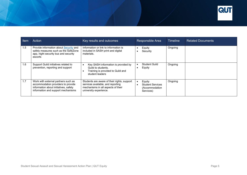

| Item | Action                                                                                                                                                   | Key results and outcomes                                                                                                                         | Responsible Area                                                              | <b>Timeline</b> | <b>Related Documents</b> |
|------|----------------------------------------------------------------------------------------------------------------------------------------------------------|--------------------------------------------------------------------------------------------------------------------------------------------------|-------------------------------------------------------------------------------|-----------------|--------------------------|
| 1.5  | Provide information about Security and<br>safety measures such as the SafeZone<br>app, night security bus and security<br>escorts                        | Information or link to information is<br>included in SASH print and digital<br>materials.                                                        | Equity<br>Security                                                            | Ongoing         |                          |
| 1.6  | Support Guild initiatives related to<br>prevention, reporting and support                                                                                | Key SASH information is provided by<br>Guild to students.<br>Training is provided to Guild and<br>student leaders                                | Student Guild<br>Equity<br>$\bullet$                                          | Ongoing         |                          |
| 1.7  | Work with external partners such as<br>accommodation providers to provide<br>information about initiatives, safety<br>information and support mechanisms | Students are aware of their rights, support<br>services available, and reporting<br>mechanisms in all aspects of their<br>university experience. | Equity<br><b>Student Services</b><br>$\bullet$<br>(Accommodation<br>Services) | Ongoing         |                          |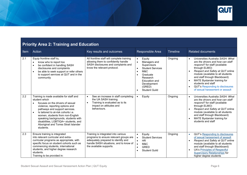

#### **Priority Area 2: Training and Education**

| Item | Action                                                                                                                                                                                                                                                                                                                                                                                          | Key results and outcomes                                                                                                                                                                  | Responsible Area                                                                                                                                                                                                      | Timeline | <b>Related documents</b>                                                                                                                                                                                                                                                                                                                                                                                                 |
|------|-------------------------------------------------------------------------------------------------------------------------------------------------------------------------------------------------------------------------------------------------------------------------------------------------------------------------------------------------------------------------------------------------|-------------------------------------------------------------------------------------------------------------------------------------------------------------------------------------------|-----------------------------------------------------------------------------------------------------------------------------------------------------------------------------------------------------------------------|----------|--------------------------------------------------------------------------------------------------------------------------------------------------------------------------------------------------------------------------------------------------------------------------------------------------------------------------------------------------------------------------------------------------------------------------|
| 2.1  | Equip frontline staff to,<br>know who to report too<br>be confident in handling SASH<br>$\bullet$<br>disclosures and complaints<br>be able to seek support or refer others<br>$\bullet$<br>to support services at QUT and in the<br>community                                                                                                                                                   | All frontline staff will complete training<br>allowing them to confidently handle<br>SASH disclosures and complaints and<br>know the relevant protocol.                                   | Equity<br>$\bullet$<br>Managers and<br>$\bullet$<br>Supervisors<br><b>Student Services</b><br>M&C<br>$\bullet$<br>Graduate<br>$\bullet$<br>Research<br>Education and<br>Development<br>(GRED)<br><b>Student Guild</b> | Ongoing  | Universities Australia SASH: What<br>$\bullet$<br>are the drivers and how can staff<br>respond? for staff (available<br>through ELMO)<br>Respect and Safety at QUT online<br>$\bullet$<br>module (available to all students<br>and staff through Blackboard)<br>MATE Bystander training for<br>$\bullet$<br>students and staff<br><b>QUT's Responding to disclosures</b><br>$\bullet$<br>of sexual harassment or assault |
| 2.2  | Training is made available for staff and<br>student which<br>focuses on the drivers of sexual<br>violence, reporting options and<br>pathways and support services.<br>Is tailored to at-risk cohorts i.e.<br>$\bullet$<br>women, students from non-English<br>speaking backgrounds, students with<br>disabilities, LGBTIQA+ students, and<br>Aboriginal and Torres Strait Islander<br>students. | See an increase in staff completing<br>$\bullet$<br>the UA SASH training.<br>Training is evaluated as to its<br>$\bullet$<br>impact on attitudes and<br>behaviours.                       | Equity<br>$\bullet$                                                                                                                                                                                                   | Ongoing  | Universities Australia SASH: What<br>$\bullet$<br>are the drivers and how can staff<br>respond? for staff (available<br>through ELMO)<br>Respect and Safety at QUT online<br>$\bullet$<br>module (available to all students<br>and staff through Blackboard)<br>MATE Bystander training for<br>students and staff                                                                                                        |
| 2.3  | Ensure training is integrated<br>into relevant curricular and extra-<br>curricular programs as appropriate, with<br>specific focus on student cohorts such as<br>commencing students, international<br>students, and higher degree research<br>students.<br>Training to be provided in:                                                                                                         | Training is integrated into various<br>programs to ensure relevant groups are<br>adequately prepared to identify and<br>handle SASH situations, and to know of<br>the available supports. | Equity<br>$\bullet$<br><b>Student Services</b><br>$\bullet$<br><b>HR</b><br>$\bullet$<br>M&C<br>$\bullet$<br><b>GRED</b><br>$\bullet$<br><b>Student Guild</b>                                                         | Ongoing  | <b>QUT's Responding to disclosures</b><br>$\bullet$<br>of sexual harassment of assault<br>Respect and Safety at QUT online<br>$\bullet$<br>module (available to all students<br>and staff through Blackboard)<br><b>UA's Principles of Respectful</b><br>$\bullet$<br><b>Supervisory Relationships for</b><br>higher degree students                                                                                     |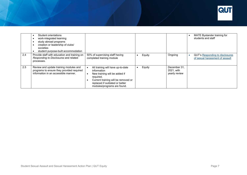

|     | Student orientations<br>work-integrated learning<br>study abroad programs<br>creation or leadership of clubs/<br>societies<br>student purpose-built accommodation |                                                                                                                                                                                                        |        |                                             | MATE Bystander training for<br>students and staff                         |
|-----|-------------------------------------------------------------------------------------------------------------------------------------------------------------------|--------------------------------------------------------------------------------------------------------------------------------------------------------------------------------------------------------|--------|---------------------------------------------|---------------------------------------------------------------------------|
| 2.4 | Provide staff with education and training on<br>Responding to Disclosures and related<br>processes.                                                               | 50% of supervising staff having<br>completed training module                                                                                                                                           | Equity | Ongoing                                     | <b>QUT's Responding to disclosures</b><br>of sexual harassment of assault |
| 2.5 | Review and update training modules and<br>programs to ensure they provided required<br>information in an accessible manner.                                       | All training will have up-to-date<br>information<br>New training will be added if<br>required.<br>Current training will be removed or<br>replaced if outdated or better<br>modules/programs are found. | Equity | December 31,<br>2021, with<br>yearly review |                                                                           |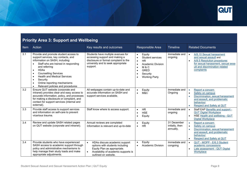

#### **Priority Area 3: Support and Wellbeing**

| Item | Action                                                                                                                                                                                                                                                                                                                                                                                                                   | Key results and outcomes                                                                                                                                        | Responsible Area                                                                                                                                                                  | <b>Timeline</b>                             | <b>Related Documents</b>                                                                                                                                                                                |
|------|--------------------------------------------------------------------------------------------------------------------------------------------------------------------------------------------------------------------------------------------------------------------------------------------------------------------------------------------------------------------------------------------------------------------------|-----------------------------------------------------------------------------------------------------------------------------------------------------------------|-----------------------------------------------------------------------------------------------------------------------------------------------------------------------------------|---------------------------------------------|---------------------------------------------------------------------------------------------------------------------------------------------------------------------------------------------------------|
| 3.1  | Provide and promote student access to<br>support services, key contacts, and<br>information on SASH, including:<br>Staff who are trained in responding<br>and referring<br><b>HDAs</b><br>$\bullet$<br><b>Counselling Services</b><br>$\bullet$<br><b>Health and Medical Services</b><br>$\bullet$<br>Security<br>$\bullet$<br>Online reporting mechanisms<br>$\bullet$<br>Relevant policies and procedures<br>$\bullet$ | Students have multiple avenues for<br>accessing support and making a<br>disclosure or formal complaint to the<br>university and to seek appropriate<br>support. | Equity<br>$\bullet$<br>Student services<br><b>HR</b><br>$\bullet$<br><b>Academic Division</b><br>$\bullet$<br>M&C<br>$\bullet$<br><b>GRED</b><br>Security<br><b>Working Party</b> | Immediate and<br>ongoing                    | A/8.10 Sexual harassment<br>$\bullet$<br>and sexual assault and<br>A/8.5 Resolution procedures<br>$\bullet$<br>for sexual harassment, sexual assa<br>ult and discrimination related<br>complaints       |
| 3.2  | Ensure QUT website (corporate and<br>intranet) provides clear and easy access to<br>accurate information, policy, and processes<br>for making a disclosure or complaint, and<br>contact for support services (internal and<br>external).                                                                                                                                                                                 | All webpages contain up-to-date and<br>accurate information on SASH and<br>support services available.                                                          | Equity<br>$\bullet$<br>M&C<br>$\bullet$                                                                                                                                           | Immediate and<br>Ongoing                    | $\bullet$<br>Report a concern<br>Safety on campus<br>$\bullet$<br>Discrimination, sexual harassment<br>$\bullet$<br>and assault, and problematic<br>behaviour<br>Respect and Safety at QUT<br>$\bullet$ |
| 3.3  | Provide staff access to support services<br>and information on self-care to prevent<br>vicarious trauma.                                                                                                                                                                                                                                                                                                                 | Staff know where to access support.                                                                                                                             | <b>HR</b><br>$\bullet$<br><b>HSE</b><br>$\bullet$<br>Equity                                                                                                                       | Immediate and<br>ongoing                    | Staff EAP Benefits and support -<br>$\bullet$<br><b>QUT Digital Workplace</b><br>HSE Health and wellbeing - QUT<br>$\bullet$<br><b>Digital Workplace</b>                                                |
| 3.4  | Review and update SASH related pages<br>on QUT website (corporate and intranet).                                                                                                                                                                                                                                                                                                                                         | Annual reviews are completed<br>Information is relevant and up-to-date                                                                                          | Equity<br><b>HR</b><br>$\bullet$                                                                                                                                                  | 31 December<br>initially, then<br>annually. | Report a concern<br>$\bullet$<br>Safety on campus<br>$\bullet$<br>Discrimination, sexual harassment<br>$\bullet$<br>and assault, and problematic<br>behaviour<br>Respect and Safety at QUT<br>$\bullet$ |
| 3.4  | Provide students who have experienced<br>SASH access to academic support through<br>policy and administrative mechanisms to<br>help manage their study loads and make<br>appropriate adjustments.                                                                                                                                                                                                                        | HDAs discuss academic support<br>options with students including<br>Equity Plan as appropriate.<br>Availability of academic supports is<br>outlined on website. | Equity<br>Academic Division                                                                                                                                                       | Immediate and<br>congoing                   | QUT - MOPP - E/6.3 Student<br>$\bullet$<br>academic concessions<br>Late assessment - QUT Digital<br>$\bullet$<br>Workplace                                                                              |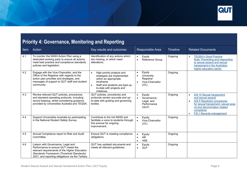

### **Priority 4: Governance, Monitoring and Reporting**

| Item | Action                                                                                                                                                                                                                      | Key results and outcomes                                                                                                                                                                                  | Responsible Area                                                                       | <b>Timeline</b> | <b>Related Documents</b>                                                                                                                                                                                     |
|------|-----------------------------------------------------------------------------------------------------------------------------------------------------------------------------------------------------------------------------|-----------------------------------------------------------------------------------------------------------------------------------------------------------------------------------------------------------|----------------------------------------------------------------------------------------|-----------------|--------------------------------------------------------------------------------------------------------------------------------------------------------------------------------------------------------------|
| 4.1  | To monitor the SASH Action Plan using a<br>dedicated working party to ensure all actions<br>meet best practice and compliance standards<br>policies and legislation.                                                        | Identification of any actions which<br>are missing, or which need<br>alterations.                                                                                                                         | Equity<br>Reference Group<br>$\bullet$                                                 | Ongoing         | <b>TEQSA's Good Practice</b><br>$\bullet$<br>Note: Preventing and responding<br>to sexual assault and sexual<br>harassment in the Australian<br>higher education sector                                      |
| 4.2  | Engage with the Vice-Chancellor, and the<br>Office of the Registrar with regards to the<br>action plan priorities and strategies, and<br>messages of support to QUT staff and student<br>community.                         | High priority projects and<br>$\bullet$<br>strategies are implemented<br>within an appropriate<br>timeframe.<br>Staff and students are kept up-<br>$\bullet$<br>to-date with projects and<br>initiatives. | Equity<br>$\bullet$<br>University<br>$\bullet$<br>Registrar<br>Vice-Chancellor<br>(VC) | Ongoing         |                                                                                                                                                                                                              |
| 4.3  | Review relevant QUT policies, procedures,<br>and standard operating protocols, including<br>record keeping, whilst considering guidance<br>provided by Universities Australia and TEQSA.                                    | QUT policies, procedures and<br>protocols remain accurate and up-<br>to-date with guiding and governing<br>bodies.                                                                                        | Equity<br>$\bullet$<br>Governance,<br>$\bullet$<br>Legal, and<br>Performance<br>(GLP)  | Ongoing         | A/8.10 Sexual harassment<br>$\bullet$<br>and sexual assault<br>A/8.5 Resolution procedures<br>for sexual harassment, sexual assa<br>ult and discrimination related<br>complaints<br>F/6.1 Records management |
| 4.4  | Support Universities Australia by participating<br>in the National Student Safety Survey                                                                                                                                    | Contribute to the UA NSSS and<br>facilitate a voice to students through<br>this avenue for ongoing<br>improvement.                                                                                        | Equity<br>$\bullet$<br>$\bullet$<br>Vice-Chancellor<br>(VC)                            | Ongoing         |                                                                                                                                                                                                              |
| 4.5  | Annual Compliance report to Risk and Audit<br>Committee.                                                                                                                                                                    | Ensure QUT is meeting compliance<br>obligations                                                                                                                                                           | Equity<br>$\bullet$<br><b>HR</b><br>$\bullet$<br><b>HSE</b>                            | Ongoing         |                                                                                                                                                                                                              |
| 4.6  | Liaison with Governance, Legal and<br>Performance to ensure QUT meets the<br>relevant requirements of the Higher Education<br>Standards Framework (Threshold Standards)<br>2021, and reporting obligations via the Tertiary | QUT has updated documents and<br>meets all relevant guidelines.                                                                                                                                           | Equity<br>$\bullet$<br><b>GLP</b>                                                      | Ongoing         |                                                                                                                                                                                                              |